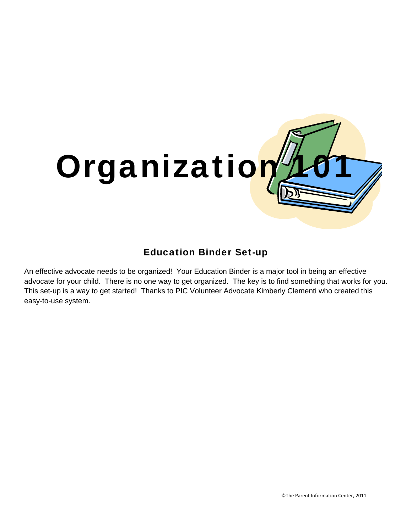

### Education Binder Set-up

An effective advocate needs to be organized! Your Education Binder is a major tool in being an effective advocate for your child. There is no one way to get organized. The key is to find something that works for you. This set-up is a way to get started! Thanks to PIC Volunteer Advocate Kimberly Clementi who created this easy-to-use system.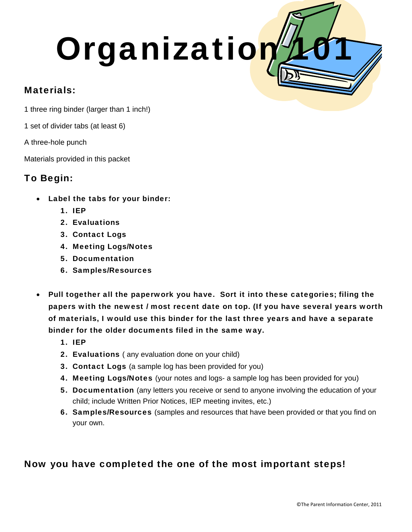# Organization

#### Materials:

1 three ring binder (larger than 1 inch!)

1 set of divider tabs (at least 6)

A three-hole punch

Materials provided in this packet

#### To Begin:

- Label the tabs for your binder:
	- 1. IEP
	- 2. Evaluations
	- 3. Contact Logs
	- 4. Meeting Logs/Notes
	- 5. Documentation
	- 6. Samples/Resources
- Pull together all the paperwork you have. Sort it into these categories; filing the papers with the newest / most recent date on top. (If you have several years worth of materials, I would use this binder for the last three years and have a separate binder for the older documents filed in the same way.
	- 1. IEP
	- 2. Evaluations (any evaluation done on your child)
	- **3. Contact Logs** (a sample log has been provided for you)
	- 4. Meeting Logs/Notes (your notes and logs- a sample log has been provided for you)
	- 5. Documentation (any letters you receive or send to anyone involving the education of your child; include Written Prior Notices, IEP meeting invites, etc.)
	- 6. Samples/Resources (samples and resources that have been provided or that you find on your own.

## Now you have completed the one of the most important steps!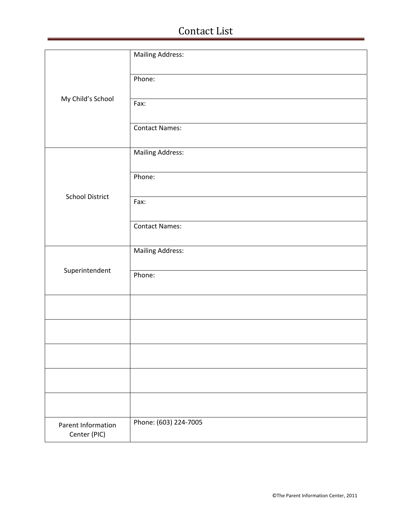# Contact List

|                                    | <b>Mailing Address:</b> |
|------------------------------------|-------------------------|
| My Child's School                  | Phone:                  |
|                                    | Fax:                    |
|                                    | <b>Contact Names:</b>   |
|                                    | <b>Mailing Address:</b> |
|                                    | Phone:                  |
| <b>School District</b>             | Fax:                    |
|                                    | <b>Contact Names:</b>   |
|                                    | <b>Mailing Address:</b> |
| Superintendent                     | Phone:                  |
|                                    |                         |
|                                    |                         |
|                                    |                         |
|                                    |                         |
|                                    |                         |
| Parent Information<br>Center (PIC) | Phone: (603) 224-7005   |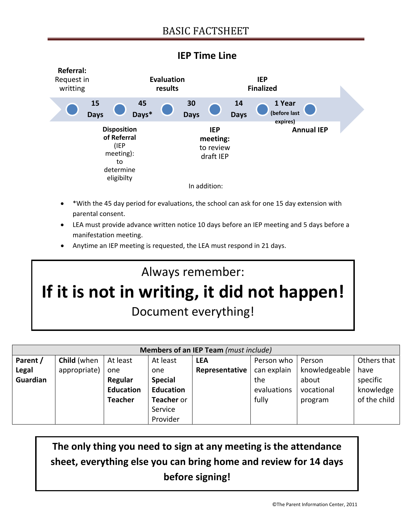

#### **IEP Time Line**

- \*With the 45 day period for evaluations, the school can ask for one 15 day extension with parental consent.
- LEA must provide advance written notice 10 days before an IEP meeting and 5 days before a manifestation meeting.
- Anytime an IEP meeting is requested, the LEA must respond in 21 days.

# Always remember: **If it is not in writing, it did not happen!** Document everything!

| Members of an IEP Team (must include) |                    |                  |                  |                |             |               |              |
|---------------------------------------|--------------------|------------------|------------------|----------------|-------------|---------------|--------------|
| Parent /                              | <b>Child</b> (when | At least         | At least         | <b>LEA</b>     | Person who  | Person        | Others that  |
| Legal                                 | appropriate)       | one              | one              | Representative | can explain | knowledgeable | have         |
| Guardian                              |                    | Regular          | <b>Special</b>   |                | the         | about         | specific     |
|                                       |                    | <b>Education</b> | <b>Education</b> |                | evaluations | vocational    | knowledge    |
|                                       |                    | <b>Teacher</b>   | Teacher or       |                | fully       | program       | of the child |
|                                       |                    |                  | Service          |                |             |               |              |
|                                       |                    |                  | Provider         |                |             |               |              |

# **The only thing you need to sign at any meeting is the attendance sheet, everything else you can bring home and review for 14 days before signing!**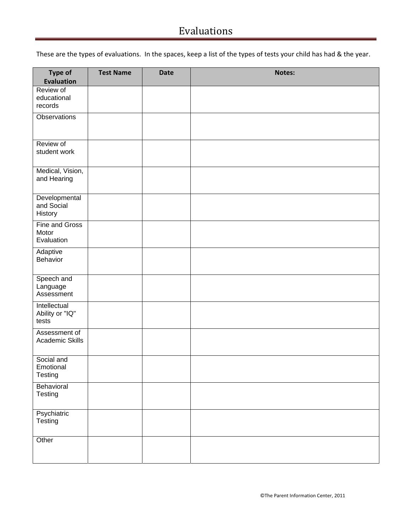# Evaluations

These are the types of evaluations. In the spaces, keep a list of the types of tests your child has had & the year.

| Type of<br><b>Evaluation</b>             | <b>Test Name</b> | <b>Date</b> | Notes: |
|------------------------------------------|------------------|-------------|--------|
| Review of<br>educational<br>records      |                  |             |        |
| <b>Observations</b>                      |                  |             |        |
| Review of<br>student work                |                  |             |        |
| Medical, Vision,<br>and Hearing          |                  |             |        |
| Developmental<br>and Social<br>History   |                  |             |        |
| Fine and Gross<br>Motor<br>Evaluation    |                  |             |        |
| Adaptive<br>Behavior                     |                  |             |        |
| Speech and<br>Language<br>Assessment     |                  |             |        |
| Intellectual<br>Ability or "IQ"<br>tests |                  |             |        |
| Assessment of<br>Academic Skills         |                  |             |        |
| Social and<br>Emotional<br>Testing       |                  |             |        |
| Behavioral<br>Testing                    |                  |             |        |
| Psychiatric<br>Testing                   |                  |             |        |
| Other                                    |                  |             |        |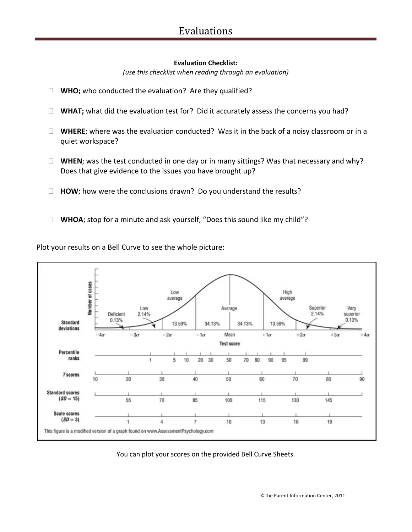#### **Evaluation Checklist:**

*(use this checklist when reading through an evaluation)*

- □ **WHO;** who conducted the evaluation? Are they qualified?
- **WHAT;** what did the evaluation test for? Did it accurately assess the concerns you had?
- □ **WHERE**; where was the evaluation conducted? Was it in the back of a noisy classroom or in a quiet workspace?
- **WHEN**; was the test conducted in one day or in many sittings? Was that necessary and why? Does that give evidence to the issues you have brought up?
- $\Box$  **HOW**; how were the conclusions drawn? Do you understand the results?
- □ **WHOA**; stop for a minute and ask yourself, "Does this sound like my child"?

Plot your results on a Bell Curve to see the whole picture:



You can plot your scores on the provided Bell Curve Sheets.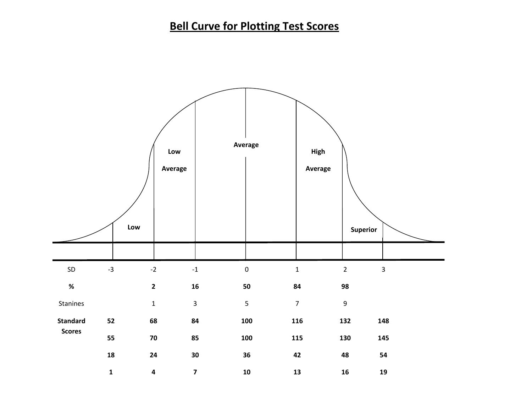# **Bell Curve for Plotting Test Scores**

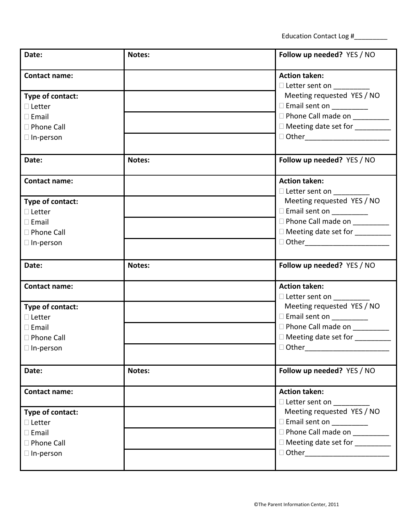Education Contact Log #\_\_\_\_\_\_\_\_\_

| Date:                | Notes: | Follow up needed? YES / NO                                                                                                                                                                                                    |  |  |
|----------------------|--------|-------------------------------------------------------------------------------------------------------------------------------------------------------------------------------------------------------------------------------|--|--|
| <b>Contact name:</b> |        | <b>Action taken:</b>                                                                                                                                                                                                          |  |  |
|                      |        | □ Letter sent on _________                                                                                                                                                                                                    |  |  |
| Type of contact:     |        | Meeting requested YES / NO                                                                                                                                                                                                    |  |  |
| $\Box$ Letter        |        | Email sent on __________                                                                                                                                                                                                      |  |  |
| $\square$ Email      |        | D Phone Call made on ________                                                                                                                                                                                                 |  |  |
| □ Phone Call         |        | □ Meeting date set for _________                                                                                                                                                                                              |  |  |
| $\Box$ In-person     |        | □ Other________________________                                                                                                                                                                                               |  |  |
|                      |        |                                                                                                                                                                                                                               |  |  |
| Date:                | Notes: | Follow up needed? YES / NO                                                                                                                                                                                                    |  |  |
| <b>Contact name:</b> |        | <b>Action taken:</b>                                                                                                                                                                                                          |  |  |
|                      |        | □ Letter sent on __________                                                                                                                                                                                                   |  |  |
| Type of contact:     |        | Meeting requested YES / NO                                                                                                                                                                                                    |  |  |
| $\Box$ Letter        |        | Email sent on __________                                                                                                                                                                                                      |  |  |
| $\square$ Email      |        | D Phone Call made on _________                                                                                                                                                                                                |  |  |
| □ Phone Call         |        | □ Meeting date set for _________                                                                                                                                                                                              |  |  |
| $\Box$ In-person     |        | □ Other the control of the control of the control of the control of the control of the control of the control of the control of the control of the control of the control of the control of the control of the control of the |  |  |
|                      |        |                                                                                                                                                                                                                               |  |  |
| Date:                | Notes: | Follow up needed? YES / NO                                                                                                                                                                                                    |  |  |
| <b>Contact name:</b> |        | <b>Action taken:</b>                                                                                                                                                                                                          |  |  |
|                      |        | □ Letter sent on _________                                                                                                                                                                                                    |  |  |
| Type of contact:     |        | Meeting requested YES / NO                                                                                                                                                                                                    |  |  |
| $\Box$ Letter        |        | □ Email sent on __________                                                                                                                                                                                                    |  |  |
| $\square$ Email      |        | D Phone Call made on __________                                                                                                                                                                                               |  |  |
| □ Phone Call         |        | □ Meeting date set for _________                                                                                                                                                                                              |  |  |
| $\Box$ In-person     |        | □ Other________                                                                                                                                                                                                               |  |  |
|                      |        |                                                                                                                                                                                                                               |  |  |
| Date:                | Notes: | Follow up needed? YES / NO                                                                                                                                                                                                    |  |  |
| <b>Contact name:</b> |        | <b>Action taken:</b>                                                                                                                                                                                                          |  |  |
|                      |        | □ Letter sent on <u>______</u>                                                                                                                                                                                                |  |  |
| Type of contact:     |        | Meeting requested YES / NO                                                                                                                                                                                                    |  |  |
| $\Box$ Letter        |        | Email sent on __________                                                                                                                                                                                                      |  |  |
| $\square$ Email      |        | D Phone Call made on ________                                                                                                                                                                                                 |  |  |
| □ Phone Call         |        | □ Meeting date set for _________                                                                                                                                                                                              |  |  |
| $\Box$ In-person     |        | □ Other_________________________                                                                                                                                                                                              |  |  |
|                      |        |                                                                                                                                                                                                                               |  |  |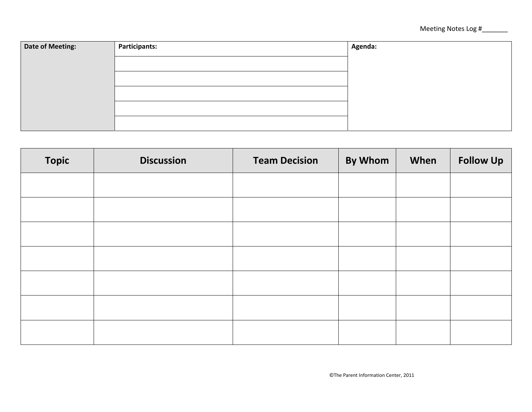| Date of Meeting: | <b>Participants:</b> | Agenda: |
|------------------|----------------------|---------|
|                  |                      |         |
|                  |                      |         |
|                  |                      |         |
|                  |                      |         |
|                  |                      |         |
|                  |                      |         |

| <b>Topic</b> | <b>Discussion</b> | <b>Team Decision</b> | <b>By Whom</b> | When | <b>Follow Up</b> |
|--------------|-------------------|----------------------|----------------|------|------------------|
|              |                   |                      |                |      |                  |
|              |                   |                      |                |      |                  |
|              |                   |                      |                |      |                  |
|              |                   |                      |                |      |                  |
|              |                   |                      |                |      |                  |
|              |                   |                      |                |      |                  |
|              |                   |                      |                |      |                  |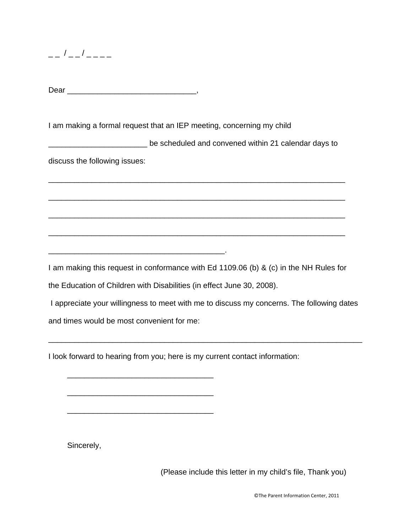$-$  /  $-$  /  $-$ 

Dear \_\_\_\_\_\_\_\_\_\_\_\_\_\_\_\_\_\_\_\_\_\_\_\_\_\_\_\_\_\_,

I am making a formal request that an IEP meeting, concerning my child

\_\_\_\_\_\_\_\_\_\_\_\_\_\_\_\_\_\_\_\_\_\_\_ be scheduled and convened within 21 calendar days to

\_\_\_\_\_\_\_\_\_\_\_\_\_\_\_\_\_\_\_\_\_\_\_\_\_\_\_\_\_\_\_\_\_\_\_\_\_\_\_\_\_\_\_\_\_\_\_\_\_\_\_\_\_\_\_\_\_\_\_\_\_\_\_\_\_\_\_\_\_

\_\_\_\_\_\_\_\_\_\_\_\_\_\_\_\_\_\_\_\_\_\_\_\_\_\_\_\_\_\_\_\_\_\_\_\_\_\_\_\_\_\_\_\_\_\_\_\_\_\_\_\_\_\_\_\_\_\_\_\_\_\_\_\_\_\_\_\_\_

\_\_\_\_\_\_\_\_\_\_\_\_\_\_\_\_\_\_\_\_\_\_\_\_\_\_\_\_\_\_\_\_\_\_\_\_\_\_\_\_\_\_\_\_\_\_\_\_\_\_\_\_\_\_\_\_\_\_\_\_\_\_\_\_\_\_\_\_\_

\_\_\_\_\_\_\_\_\_\_\_\_\_\_\_\_\_\_\_\_\_\_\_\_\_\_\_\_\_\_\_\_\_\_\_\_\_\_\_\_\_\_\_\_\_\_\_\_\_\_\_\_\_\_\_\_\_\_\_\_\_\_\_\_\_\_\_\_\_

discuss the following issues:

I am making this request in conformance with Ed 1109.06 (b) & (c) in the NH Rules for

the Education of Children with Disabilities (in effect June 30, 2008).

\_\_\_\_\_\_\_\_\_\_\_\_\_\_\_\_\_\_\_\_\_\_\_\_\_\_\_\_\_\_\_\_\_\_\_\_\_\_\_\_\_.

I appreciate your willingness to meet with me to discuss my concerns. The following dates and times would be most convenient for me:

\_\_\_\_\_\_\_\_\_\_\_\_\_\_\_\_\_\_\_\_\_\_\_\_\_\_\_\_\_\_\_\_\_\_\_\_\_\_\_\_\_\_\_\_\_\_\_\_\_\_\_\_\_\_\_\_\_\_\_\_\_\_\_\_\_\_\_\_\_\_\_\_\_

I look forward to hearing from you; here is my current contact information:

\_\_\_\_\_\_\_\_\_\_\_\_\_\_\_\_\_\_\_\_\_\_\_\_\_\_\_\_\_\_\_\_\_\_

\_\_\_\_\_\_\_\_\_\_\_\_\_\_\_\_\_\_\_\_\_\_\_\_\_\_\_\_\_\_\_\_\_\_

\_\_\_\_\_\_\_\_\_\_\_\_\_\_\_\_\_\_\_\_\_\_\_\_\_\_\_\_\_\_\_\_\_\_

Sincerely,

(Please include this letter in my child's file, Thank you)